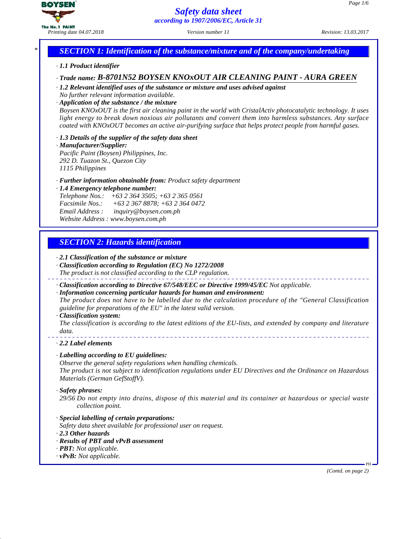

# *\* SECTION 1: Identification of the substance/mixture and of the company/undertaking*

### *· 1.1 Product identifier*

## *· Trade name: B-8701N52 BOYSEN KNOxOUT AIR CLEANING PAINT - AURA GREEN*

- *· 1.2 Relevant identified uses of the substance or mixture and uses advised against*
- *No further relevant information available.*
- *· Application of the substance / the mixture*

Boysen KNOxOUT is the first air cleaning paint in the world with CristalActiv photocatalytic technology. It uses *light energy to break down noxious air pollutants and convert them into harmless substances. Any surface coated with KNOxOUT becomes an active air-purifying surface that helps protect people from harmful gases.*

*· 1.3 Details of the supplier of the safety data sheet*

*· Manufacturer/Supplier: Pacific Paint (Boysen) Philippines, Inc. 292 D. Tuazon St., Quezon City 1115 Philippines*

- *· Further information obtainable from: Product safety department*
- *· 1.4 Emergency telephone number:*

*Telephone Nos.: +63 2 364 3505; +63 2 365 0561 Facsimile Nos.: +63 2 367 8878; +63 2 364 0472 Email Address : inquiry@boysen.com.ph Website Address : www.boysen.com.ph*

# *SECTION 2: Hazards identification*

*· 2.1 Classification of the substance or mixture*

*· Classification according to Regulation (EC) No 1272/2008*

*The product is not classified according to the CLP regulation.*

*· Classification according to Directive 67/548/EEC or Directive 1999/45/EC Not applicable.*

*· Information concerning particular hazards for human and environment: The product does not have to be labelled due to the calculation procedure ofthe "General Classification guideline for preparations of the EU" in the latest valid version.*

*· Classification system:*

The classification is according to the latest editions of the EU-lists, and extended by company and literature *data.*

*· 2.2 Label elements*

### *· Labelling according to EU guidelines:*

*Observe the general safety regulations when handling chemicals.*

*The product is not subject to identification regulations under EU Directives and the Ordinance on Hazardous Materials* (German GefStoffV).

*· Safety phrases:*

29/56 Do not empty into drains, dispose of this material and its container at hazardous or special waste *collection point.*

- *· Special labelling of certain preparations:*
- *Safety data sheet available for professional user on request.*
- *· 2.3 Other hazards*
- *· Results of PBT and vPvB assessment*
- *· PBT: Not applicable.*
- *· vPvB: Not applicable.*

46.0

*(Contd. on page 2)*

 $PH \longrightarrow$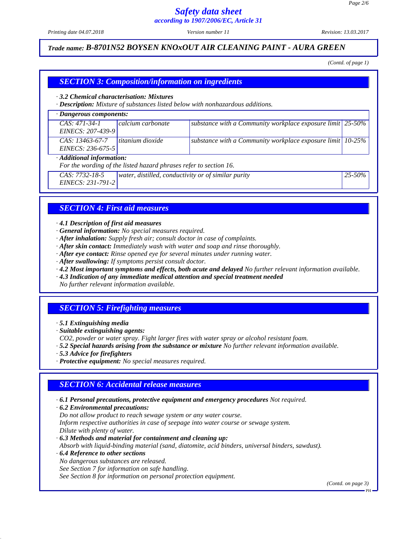# *Trade name: B-8701N52 BOYSEN KNOxOUT AIR CLEANING PAINT - AURA GREEN*

*(Contd. of page 1)*

| $\cdot$ 3.2 Chemical characterisation: Mixtures |                                                                   | · Description: Mixture of substances listed below with nonhazardous additions. |             |
|-------------------------------------------------|-------------------------------------------------------------------|--------------------------------------------------------------------------------|-------------|
| · Dangerous components:                         |                                                                   |                                                                                |             |
| $CAS: 471-34-1$<br>EINECS: 207-439-9            | calcium carbonate                                                 | substance with a Community workplace exposure limit $ 25-50\% $                |             |
| $CAS: 13463-67-7$<br>EINECS: 236-675-5          | $\frac{1}{1}$ titanium dioxide                                    | substance with a Community workplace exposure limit $10-25%$                   |             |
| · Additional information:                       | For the wording of the listed hazard phrases refer to section 16. |                                                                                |             |
| CAS: 7732-18-5<br>EINECS: 231-791-2             | water, distilled, conductivity or of similar purity               |                                                                                | $25 - 50\%$ |

# *SECTION 4: First aid measures*

*· 4.1 Description of first aid measures*

- *· General information: No special measures required.*
- *· After inhalation: Supply fresh air; consult doctor in case of complaints.*
- *· After skin contact: Immediately wash with water and soap and rinse thoroughly.*
- *· After eye contact: Rinse opened eye for several minutes under running water.*
- *· After swallowing: If symptoms persist consult doctor.*
- *· 4.2 Most important symptoms and effects, both acute and delayed No further relevant information available.*
- *· 4.3 Indication of any immediate medical attention and special treatment needed*

*No further relevant information available.*

## *SECTION 5: Firefighting measures*

*· 5.1 Extinguishing media*

*· Suitable extinguishing agents:*

*CO2, powder or water spray. Fight larger fires with water spray or alcohol resistant foam.*

- *· 5.2 Special hazards arising from the substance or mixture No further relevant information available.*
- *· 5.3 Advice for firefighters*
- *· Protective equipment: No special measures required.*

# *SECTION 6: Accidental release measures*

*· 6.1 Personal precautions, protective equipment and emergency procedures Not required.*

*· 6.2 Environmental precautions:*

*Do not allow product to reach sewage system or any water course.*

*Inform respective authorities in case of seepage into water course or sewage system.*

*Dilute with plenty of water.*

46.0

- *· 6.3 Methods and material for containment and cleaning up:*
- *Absorb with liquid-binding material (sand, diatomite, acid binders, universal binders, sawdust).*
- *· 6.4 Reference to other sections*

*No dangerous substances are released.*

*See Section 7 for information on safe handling.*

*See Section 8 for information on personal protection equipment.*

*(Contd. on page 3)*

PH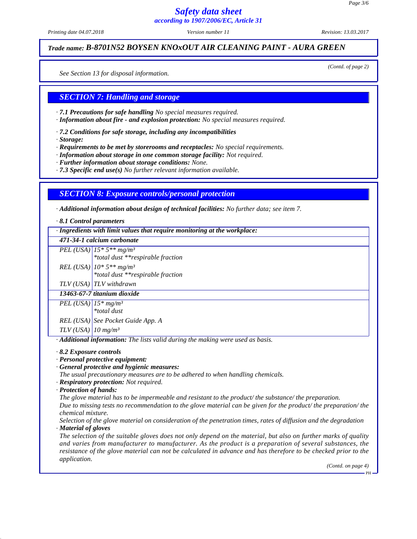*Printing date 04.07.2018 Version number 11 Revision: 13.03.2017*

## *Trade name: B-8701N52 BOYSEN KNOxOUT AIR CLEANING PAINT - AURA GREEN*

*See Section 13 for disposal information.*

*(Contd. of page 2)*

### *SECTION 7: Handling and storage*

*· 7.1 Precautions for safe handling No special measures required.*

*· Information about fire - and explosion protection: No special measures required.*

*· 7.2 Conditions for safe storage, including any incompatibilities*

*· Storage:*

*· Requirements to be met by storerooms and receptacles: No special requirements.*

*· Information about storage in one common storage facility: Not required.*

*· Further information about storage conditions: None.*

*· 7.3 Specific end use(s) No further relevant information available.*

*SECTION 8: Exposure controls/personal protection*

*· Additional information about design of technical facilities: No further data; see item 7.*

| $\cdot$ 8.1 Control parameters                                            |                                                                                                                                                                                                                                                                                                |  |  |  |
|---------------------------------------------------------------------------|------------------------------------------------------------------------------------------------------------------------------------------------------------------------------------------------------------------------------------------------------------------------------------------------|--|--|--|
| · Ingredients with limit values that require monitoring at the workplace: |                                                                                                                                                                                                                                                                                                |  |  |  |
|                                                                           | 471-34-1 calcium carbonate<br>$\begin{tabular}{l l l} PEL\left(USA\right) & $15*5**mg/m^3$ \\ & ``total dust **respirable fraction \\ & $REL\left(USA\right) $ & $10*5**mg/m^3$ \\ & ``total dust **respirable fraction \\ & $TLV\left(USA\right) $ & $TLV\left(USA\right) $ \\ \end{tabular}$ |  |  |  |
|                                                                           |                                                                                                                                                                                                                                                                                                |  |  |  |
|                                                                           |                                                                                                                                                                                                                                                                                                |  |  |  |
|                                                                           |                                                                                                                                                                                                                                                                                                |  |  |  |
|                                                                           |                                                                                                                                                                                                                                                                                                |  |  |  |
|                                                                           |                                                                                                                                                                                                                                                                                                |  |  |  |
|                                                                           | 13463-67-7 titanium dioxide                                                                                                                                                                                                                                                                    |  |  |  |

*PEL (USA) 15\* mg/m³ \*total dust REL (USA) See Pocket Guide App. A*

*TLV (USA) 10 mg/m³*

*· Additional information: The lists valid during the making were used as basis.*

*· 8.2 Exposure controls*

- *· Personal protective equipment:*
- *· General protective and hygienic measures:*

*The usual precautionary measures are to be adhered to when handling chemicals.*

- *· Respiratory protection: Not required.*
- *· Protection of hands:*

46.0

*The glove material has to be impermeable and resistant to the product/ the substance/ the preparation.*

Due to missing tests no recommendation to the glove material can be given for the product/ the preparation/ the *chemical mixture.*

Selection of the glove material on consideration of the penetration times, rates of diffusion and the degradation *· Material of gloves*

The selection of the suitable gloves does not only depend on the material, but also on further marks of quality *and varies from manufacturer to manufacturer. As the product is a preparation of several substances, the* resistance of the glove material can not be calculated in advance and has therefore to be checked prior to the *application.*

*(Contd. on page 4)*

PH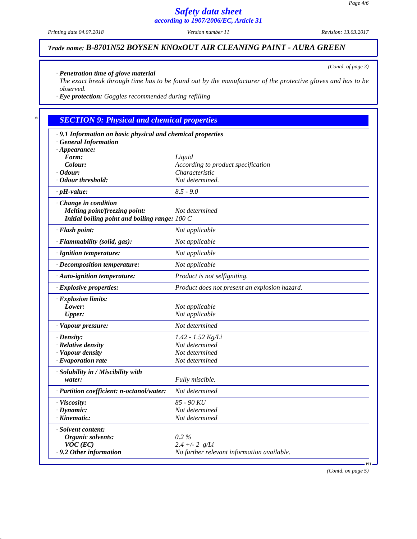# *Trade name: B-8701N52 BOYSEN KNOxOUT AIR CLEANING PAINT - AURA GREEN*

*· Penetration time of glove material*

The exact break through time has to be found out by the manufacturer of the protective gloves and has to be *observed.*

*· Eye protection: Goggles recommended during refilling*

# *\* SECTION 9: Physical and chemical properties*

| .9.1 Information on basic physical and chemical properties |                                               |
|------------------------------------------------------------|-----------------------------------------------|
| · General Information                                      |                                               |
| $\cdot$ Appearance:                                        |                                               |
| Form:                                                      | Liquid                                        |
| Colour:                                                    | According to product specification            |
| $\cdot$ Odour:                                             | Characteristic                                |
| · Odour threshold:                                         | Not determined.                               |
| $\cdot$ pH-value:                                          | $8.5 - 9.0$                                   |
| · Change in condition                                      |                                               |
| Melting point/freezing point:                              | Not determined                                |
| Initial boiling point and boiling range: 100 C             |                                               |
| · Flash point:                                             | Not applicable                                |
| · Flammability (solid, gas):                               | Not applicable                                |
| · Ignition temperature:                                    | Not applicable                                |
| · Decomposition temperature:                               | Not applicable                                |
| · Auto-ignition temperature:                               | Product is not selfigniting.                  |
| · Explosive properties:                                    | Product does not present an explosion hazard. |
| · Explosion limits:                                        |                                               |
| Lower:                                                     | Not applicable                                |
| <b>Upper:</b>                                              | Not applicable                                |
| · Vapour pressure:                                         | Not determined                                |
| $\cdot$ Density:                                           | 1.42 - 1.52 Kg/Li                             |
| · Relative density                                         | Not determined                                |
| · Vapour density                                           | Not determined                                |
| $\cdot$ Evaporation rate                                   | Not determined                                |
| · Solubility in / Miscibility with                         |                                               |
| water:                                                     | Fully miscible.                               |
| · Partition coefficient: n-octanol/water:                  | Not determined                                |
| · Viscosity:                                               | 85 - 90 KU                                    |
| $\cdot$ Dynamic:                                           | Not determined                                |
| $\cdot$ Kinematic:                                         | Not determined                                |
| · Solvent content:                                         |                                               |
| Organic solvents:                                          | 0.2%                                          |
| $VOC$ (EC)                                                 | $2.4 +/- 2 g/Li$                              |
| .9.2 Other information                                     | No further relevant information available.    |

*(Contd. on page 5)*

46.0

*(Contd. of page 3)*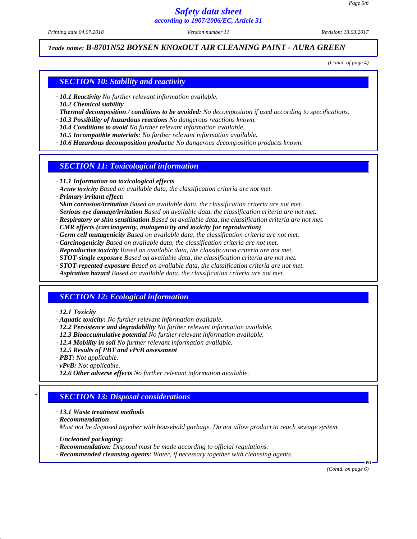*Printing date 04.07.2018 Version number 11 Revision: 13.03.2017*

# *Trade name: B-8701N52 BOYSEN KNOxOUT AIR CLEANING PAINT - AURA GREEN*

*(Contd. of page 4)*

### *SECTION 10: Stability and reactivity*

- *· 10.1 Reactivity No further relevant information available.*
- *· 10.2 Chemical stability*
- *· Thermal decomposition / conditions to be avoided: No decomposition if used according to specifications.*
- *· 10.3 Possibility of hazardous reactions No dangerous reactions known.*
- *· 10.4 Conditions to avoid No further relevant information available.*
- *· 10.5 Incompatible materials: No further relevant information available.*
- *· 10.6 Hazardous decomposition products: No dangerous decomposition products known.*

### *SECTION 11: Toxicological information*

- *· 11.1 Information on toxicological effects*
- *· Acute toxicity Based on available data, the classification criteria are not met.*
- *· Primary irritant effect:*
- *· Skin corrosion/irritation Based on available data, the classification criteria are not met.*
- *· Serious eye damage/irritation Based on available data, the classification criteria are not met.*
- *· Respiratory or skin sensitisation Based on available data, the classification criteria are not met.*
- *· CMR effects (carcinogenity, mutagenicity and toxicity for reproduction)*
- *· Germ cell mutagenicity Based on available data, the classification criteria are not met.*
- *· Carcinogenicity Based on available data, the classification criteria are not met.*
- *· Reproductive toxicity Based on available data, the classification criteria are not met.*
- *· STOT-single exposure Based on available data, the classification criteria are not met.*
- *· STOT-repeated exposure Based on available data, the classification criteria are not met.*
- *· Aspiration hazard Based on available data, the classification criteria are not met.*

### *SECTION 12: Ecological information*

#### *· 12.1 Toxicity*

- *· Aquatic toxicity: No further relevant information available.*
- *· 12.2 Persistence and degradability No further relevant information available.*
- *· 12.3 Bioaccumulative potential No further relevant information available.*
- *· 12.4 Mobility in soil No further relevant information available.*
- *· 12.5 Results of PBT and vPvB assessment*
- *· PBT: Not applicable.*
- *· vPvB: Not applicable.*
- *· 12.6 Other adverse effects No further relevant information available.*

## *\* SECTION 13: Disposal considerations*

#### *· 13.1 Waste treatment methods*

*· Recommendation*

46.0

*Must not be disposed together with household garbage. Do notallow product to reach sewage system.*

- *· Uncleaned packaging:*
- *· Recommendation: Disposal must be made according to of icial regulations.*
- *· Recommended cleansing agents: Water, if necessary together with cleansing agents.*

*(Contd. on page 6)*

 $PH \longrightarrow$